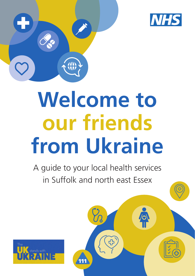



# **Welcome to our friends from Ukraine**

A guide to your local health services in Suffolk and north east Essex

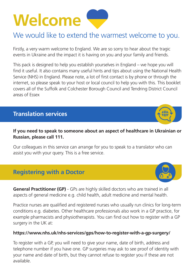# **Welcome**

# We would like to extend the warmest welcome to you.

Firstly, a very warm welcome to England. We are so sorry to hear about the tragic events in Ukraine and the impact it is having on you and your family and friends.

This pack is designed to help you establish yourselves in England – we hope you will find it useful. It also contains many useful hints and tips about using the National Health Service (NHS) in England. Please note, a lot of first contact is by phone or through the internet, so please speak to your host or local council to help you with this. This booklet covers all of the Suffolk and Colchester Borough Council and Tendring District Council areas of Essex

# **Translation services**

#### **If you need to speak to someone about an aspect of healthcare in Ukrainian or Russian, please call 111.**

Our colleagues in this service can arrange for you to speak to a translator who can assist you with your query. This is a free service.

### **Registering with a Doctor**

**General Practitioner (GP)** - GPs are highly skilled doctors who are trained in all aspects of general medicine e.g. child health, adult medicine and mental health.

Practice nurses are qualified and registered nurses who usually run clinics for long-term conditions e.g. diabetes. Other healthcare professionals also work in a GP practice, for example pharmacists and physiotherapists. You can find out how to register with a GP surgery in the UK at:

#### **https://www.nhs.uk/nhs-services/gps/how-to-register-with-a-gp-surgery/**

To register with a GP, you will need to give your name, date of birth, address and telephone number if you have one. GP surgeries may ask to see proof of identity with your name and date of birth, but they cannot refuse to register you if these are not available.



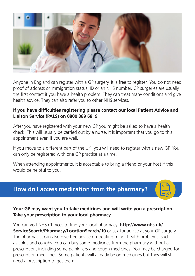

Anyone in England can register with a GP surgery. It is free to register. You do not need proof of address or immigration status, ID or an NHS number. GP surgeries are usually the first contact if you have a health problem. They can treat many conditions and give health advice. They can also refer you to other NHS services.

#### **If you have difficulties registering please contact our local Patient Advice and Liaison Service (PALS) on 0800 389 6819**

After you have registered with your new GP you might be asked to have a health check. This will usually be carried out by a nurse. It is important that you go to this appointment even if you are well.

If you move to a different part of the UK, you will need to register with a new GP. You can only be registered with one GP practice at a time.

When attending appointments, it is acceptable to bring a friend or your host if this would be helpful to you.

### **How do I access medication from the pharmacy?**

#### **Your GP may want you to take medicines and will write you a prescription. Take your prescription to your local pharmacy.**

You can visit NHS Choices to find your local pharmacy: **http://www.nhs.uk/ ServiceSearch/Pharmacy/LocationSearch/10** or ask for advice at your GP surgery. The pharmacist can also give free advice on treating minor health problems, such as colds and coughs. You can buy some medicines from the pharmacy without a prescription, including some painkillers and cough medicines. You may be charged for prescription medicines. Some patients will already be on medicines but they will still need a prescription to get them.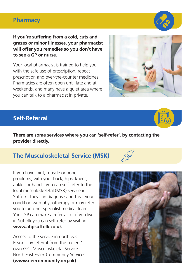#### **Pharmacy**

**If you're suffering from a cold, cuts and grazes or minor illnesses, your pharmacist will offer you remedies so you don't have to see a GP or nurse.**

Your local pharmacist is trained to help you with the safe use of prescription, repeat prescription and over-the-counter medicines. Pharmacies are often open until late and at weekends, and many have a quiet area where you can talk to a pharmacist in private.

### **Self-Referral**

**There are some services where you can 'self-refer', by contacting the provider directly.**

### **The Musculoskeletal Service (MSK)**

If you have joint, muscle or bone problems, with your back, hips, knees, ankles or hands, you can self-refer to the local musculoskeletal (MSK) service in Suffolk. They can diagnose and treat your condition with physiotherapy or may refer you to another specialist medical team. Your GP can make a referral, or if you live in Suffolk you can self-refer by visiting **www.ahpsuffolk.co.uk**

Access to the service in north east Essex is by referral from the patient's own GP - Musculoskeletal Service - North East Essex Community Services **(www.neecommunity.org.uk)**











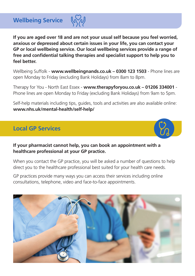**Wellbeing Service**

**If you are aged over 18 and are not your usual self because you feel worried, anxious or depressed about certain issues in your life, you can contact your GP or local wellbeing service. Our local wellbeing services provide a range of free and confidential talking therapies and specialist support to help you to feel better.**

Wellbeing Suffolk - **www.wellbeingnands.co.uk – 0300 123 1503** - Phone lines are open Monday to Friday (excluding Bank Holidays) from 8am to 8pm.

Therapy for You - North East Essex - **www.therapyforyou.co.uk – 01206 334001** - Phone lines are open Monday to Friday (excluding Bank Holidays) from 9am to 5pm.

Self-help materials including tips, guides, tools and activities are also available online: **www.nhs.uk/mental-health/self-help/**

# **Local GP Services**

**If your pharmacist cannot help, you can book an appointment with a healthcare professional at your GP practice.**

When you contact the GP practice, you will be asked a number of questions to help direct you to the healthcare professional best suited for your health care needs.

GP practices provide many ways you can access their services including online consultations, telephone, video and face-to-face appointments.

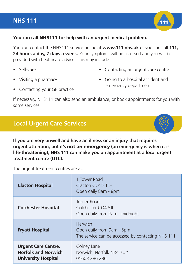#### **NHS 111**



#### **You can call** NHS111 **for help with an urgent medical problem.**

You can contact the NHS111 service online at **www.111.nhs.uk** or you can call **111, 24 hours a day, 7 days a week.** Your symptoms will be assessed and you will be provided with healthcare advice. This may include:

• Self-care

• Contacting an urgent care centre

• Visiting a pharmacy

- Going to a hospital accident and emergency department.
- Contacting your GP practice

If necessary, NHS111 can also send an ambulance, or book appointments for you with some services.

### **Local Urgent Care Services**

**If you are very unwell and have an illness or an injury that requires urgent attention, but it's** not an emergency **(an emergency is when it is life-threatening), NHS 111 can make you an appointment at a local urgent treatment centre (UTC).**

The urgent treatment centres are at:

| <b>Clacton Hospital</b>                                                                | 1 Tower Road<br>Clacton CO15 1LH<br>Open daily 8am - 8pm                                  |
|----------------------------------------------------------------------------------------|-------------------------------------------------------------------------------------------|
| <b>Colchester Hospital</b>                                                             | Turner Road<br>Colchester CO4 51<br>Open daily from 7 am - midnight                       |
| <b>Fryatt Hospital</b>                                                                 | Harwich<br>Open daily from 9am - 5pm<br>The service can be accessed by contacting NHS 111 |
| <b>Urgent Care Centre,</b><br><b>Norfolk and Norwich</b><br><b>University Hospital</b> | Colney Lane<br>Norwich, Norfolk NR4 7UY<br>01603 286 286                                  |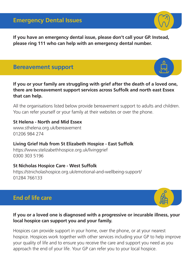#### **Emergency Dental Issues**

**If you have an emergency dental issue, please don't call your GP. Instead, please ring 111 who can help with an emergency dental number.**

#### **Bereavement support**

**If you or your family are struggling with grief after the death of a loved one, there are bereavement support services across Suffolk and north east Essex that can help.**

All the organisations listed below provide bereavement support to adults and children. You can refer yourself or your family at their websites or over the phone.

#### **St Helena - North and Mid Essex**

www.sthelena.org.uk/bereavement 01206 984 274

#### **Living Grief Hub from St Elizabeth Hospice - East Suffolk**

https://www.stelizabethhospice.org.uk/livinggrief 0300 303 5196

#### **St Nicholas Hospice Care - West Suffolk**

https://stnicholashospice.org.uk/emotional-and-wellbeing-support/ 01284 766133

# **End of life care**

#### **If you or a loved one is diagnosed with a progressive or incurable illness, your local hospice can support you and your family.**

Hospices can provide support in your home, over the phone, or at your nearest hospice. Hospices work together with other services including your GP to help improve your quality of life and to ensure you receive the care and support you need as you approach the end of your life. Your GP can refer you to your local hospice.







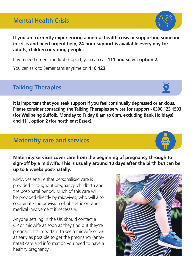# **Mental Health Crisis**

**If you are currently experiencing a mental health crisis or supporting someone in crisis and need urgent help, 24-hour support is available every day for adults, children or young people.** 

If you need urgent medical support, you can call **111 and select option 2.** 

You can talk to Samaritans anytime on **116 123.**

# **Talking Therapies**

**It is important that you seek support if you feel continually depressed or anxious. Please consider contacting the Talking Therapies services for support - 0300 123 1503 (for Wellbeing Suffolk, Monday to Friday 8 am to 8pm, excluding Bank Holidays) and 111, option 2 (for north east Essex).**

### **Maternity care and services**

**Maternity services cover care from the beginning of pregnancy through to sign-off by a midwife. This is usually around 10 days after the birth but can be up to 6 weeks post-natally.**

Midwives ensure that personalised care is provided throughout pregnancy, childbirth and the post-natal period. Much of this care will be provided directly by midwives, who will also coordinate the provision of obstetric or other medical involvement if necessary.

Anyone settling in the UK should contact a GP or midwife as soon as they find out they're pregnant. It's important to see a midwife or GP as early as possible to get the pregnancy (antenatal) care and information you need to have a healthy pregnancy.





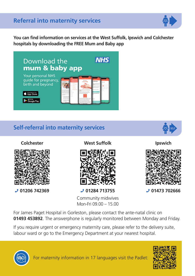# **Referral into maternity services**



**You can find information on services at the West Suffolk, Ipswich and Colchester hospitals by downloading the FREE Mum and Baby app**



# **Self-referral into maternity services**



**Colchester**



**01206 742369**

**West Suffolk**



**01284 713755**

Community midwives Mon-Fri 09.00 – 15.00

**Ipswich**



**01473 702666**

For James Paget Hospital in Gorleston, please contact the ante-natal clinic on **01493 453892**. The answerphone is regularly monitored between Monday and Friday.

If you require urgent or emergency maternity care, please refer to the delivery suite, labour ward or go to the Emergency Department at your nearest hospital.



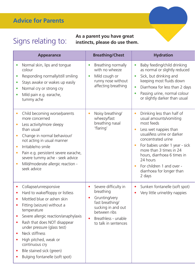# **Advice for Parents**

#### Signs relating to: **As a parent you have great instincts, please do use them.**

| Appearance                                                                                                                                                                                                                                                                                                                            | <b>Breathing/Chest</b>                                                                                                                                                  | <b>Hydration</b>                                                                                                                                                                                                                                                                                                                                                   |
|---------------------------------------------------------------------------------------------------------------------------------------------------------------------------------------------------------------------------------------------------------------------------------------------------------------------------------------|-------------------------------------------------------------------------------------------------------------------------------------------------------------------------|--------------------------------------------------------------------------------------------------------------------------------------------------------------------------------------------------------------------------------------------------------------------------------------------------------------------------------------------------------------------|
| Normal skin, lips and tongue<br>colour<br>Responding normally/still smiling<br>$\bullet$<br>Stays awake or wakes up easily<br>Normal cry or strong cry<br>Mild pain e.g. earache,<br>tummy ache                                                                                                                                       | • Breathing normally<br>with no wheeze<br>Mild cough or<br>$\bullet$<br>runny nose without<br>affecting breathing                                                       | Baby feeding/child drinking<br>$\bullet$<br>as normal or slightly reduced<br>Sick, but drinking and<br>keeping most fluids down<br>Diarrhoea for less than 2 days<br>Passing urine, normal colour<br>or slightly darker than usual                                                                                                                                 |
| Child becoming worse/parents<br>more concerned<br>Less activity/more sleepy<br>than usual<br>Change in normal behaviour/<br>not acting in usual manner<br>Irritable/no smile<br>$\bullet$<br>Pain e.g. persistent severe earache,<br>severe tummy ache - seek advice<br>Mild/moderate allergic reaction -<br>seek advice              | Noisy breathing/<br>wheezy/fast<br>breathing nasal<br>'flaring'                                                                                                         | Drinking less than half of<br>usual amounts/vomiting<br>most feeds<br>Less wet nappies than<br>$\bullet$<br>usual/less urine or darker<br>concentrated urine<br>For babies under 1 year - sick<br>$\bullet$<br>more than 3 times in 24<br>hours, diarrhoea 6 times in<br>24 hours<br>For children 1 and over -<br>$\bullet$<br>diarrhoea for longer than<br>2 days |
| Collapse/unresponsive<br>Hard to wake/floppy or listless<br>Mottled blue or ashen skin<br>Fitting (seizure) without a<br>temperature<br>Severe allergic reaction/anaphylaxis<br>Rash that does NOT disappear<br>under pressure (glass test)<br>Neck stiffness<br>High pitched, weak or<br>continuous cry<br>Bile stained sick (green) | Severe difficulty in<br>breathing<br>Grunting/very<br>fast breathing/<br>sucking in and out<br>between ribs<br>Breathless - unable<br>$\bullet$<br>to talk in sentences | Sunken fontanelle (soft spot)<br>$\bullet$<br>Very little urine/dry nappies<br>$\bullet$                                                                                                                                                                                                                                                                           |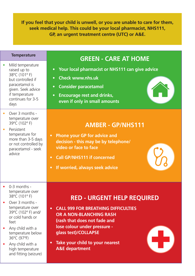**If you feel that your child is unwell, or you are unable to care for them, seek medical help. This could be your local pharmacist, NHS111, GP, an urgent treatment centre (UTC) or A&E.**

- Mild temperature raised up to 38ºC (101º F) but controlled if paracetamol is given. Seek advice if temperature continues for 3-5 days
- Over 3 months temperature over 39ºC (102º F)
- Persistent temperature for more than 3-5 days or not controlled by paracetamol - seek advice

- $\bullet$  0-3 months temperature over 38ºC (101º F)
- Over 3 months temperature over 39ºC (102º F) and/ or cold hands or feet
- Any child with a temperature below 36ºC (97ºF)
- Any child with a high temperature and fitting (seizure)

# **APPEARATE READER IN TEMPERATE IN TEMPERATION GREEN - CARE AT HOME**

- **Your local pharmacist or NHS111 can give advice**
- **• Check www.nhs.uk**
- **• Consider paracetamol**
- **Encourage rest and drinks, even if only in small amounts**



- **Phone your GP for advice and decision - this may be by telephone/ video or face to face**
- **• Call GP/NHS111 if concerned**
- **• If worried, always seek advice**

#### **RED - URGENT HELP REQUIRED**

- **CALL 999 FOR BREATHING DIFFICULTIES OR A NON-BLANCHING RASH (rash that does not fade and lose colour under pressure glass test)/COLLAPSE**
- **Take your child to your nearest A&E department**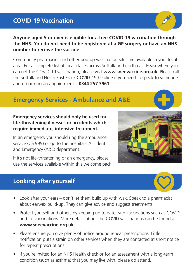# **COVID-19 Vaccination**

**Anyone aged 5 or over is eligible for a free COVID-19 vaccination through the NHS. You do not need to be registered at a GP surgery or have an NHS number to receive the vaccine.**

Community pharmacies and other pop-up vaccination sites are available in your local area. For a complete list of local places across Suffolk and north east Essex where you can get the COVID-19 vaccination, please visit **www.sneevaccine.org.uk**. Please call the Suffolk and North East Essex COVID-19 helpline if you need to speak to someone about booking an appointment – **0344 257 3961**.

## **Emergency Services - Ambulance and A&E**

#### **Emergency services should only be used for life-threatening illnesses or accidents which require immediate, intensive treatment.**

In an emergency you should ring the ambulance service (via 999) or go to the hospital's Accident and Emergency (A&E) department.

If it's not life-threatening or an emergency, please use the services available within this welcome pack.

# **Looking after yourself**



- Protect yourself and others by keeping up to date with vaccinations such as COVID and flu vaccinations. More details about the COVID vaccinations can be found at **www.sneevaccine.org.uk**
- Please ensure you give plenty of notice around repeat prescriptions. Little notification puts a strain on other services when they are contacted at short notice for repeat prescriptions.
- If you're invited for an NHS Health check or for an assessment with a long-term condition (such as asthma) that you may live with, please do attend.







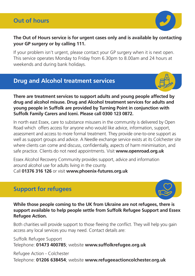# **Out of hours**



#### **The Out of Hours service is for urgent cases only and is available by contacting your GP surgery or by calling 111.**

If your problem isn't urgent, please contact your GP surgery when it is next open. This service operates Monday to Friday from 6.30pm to 8.00am and 24 hours at weekends and during bank holidays.

# **Drug and Alcohol treatment services**



#### **There are treatment services to support adults and young people affected by drug and alcohol misuse. Drug and Alcohol treatment services for adults and young people in Suffolk are provided by Turning Point in conjunction with Suffolk Family Carers and Iceni. Please call 0300 123 0872.**

In north east Essex, care to substance misusers in the community is delivered by Open Road which offers access for anyone who would like advice, information, support, assessment and access to more formal treatment. They provide one-to-one support as well as support groups and advice. A Needle exchange service exists at its Colchester site where clients can come and discuss, confidentially, aspects of harm minimisation, and safe practice. Clients do not need appointments. Visit **www.openroad.org.uk**

Essex Alcohol Recovery Community provides support, advice and information around alcohol use for adults living in the county.

Call **01376 316 126** or visit **www.phoenix-futures.org.uk**

# **Support for refugees**



**While those people coming to the UK from Ukraine are not refugees, there is support available to help people settle from Suffolk Refugee Support and Essex Refugee Action.**

Both charities will provide support to those fleeing the conflict. They will help you gain access any local services you may need. Contact details are:

Suffolk Refugee Support Telephone: **01473 400785**; website **www.suffolkrefugee.org.uk**

Refugee Action - Colchester Telephone: **01206 638454**; website **www.refugeeactioncolchester.org.uk**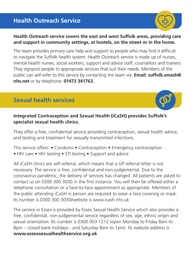# **Health Outreach Service**

#### **Health Outreach service covers the east and west Suffolk areas, providing care and support in community settings, at hostels, on the street or in the home.**

The team provides primary care help and support to people who may find it difficult to navigate the Suffolk health system. Health Outreach service is made up of nurses, mental health nurses, social workers, support and advice staff, counsellors and trainers. They signpost people to appropriate services that suit their needs. Members of the public can self-refer to this service by contacting the team via: **Email: suffolk.smash@ nhs.net** or by telephone: **01473 341763.**

# **Sexual health services**



They offer a free, confidential service providing contraception, sexual health advice, and testing and treatment for sexually transmitted infections.

This service offers: • Condoms • Contraception • Emergency contraception • HIV care • HIV testing • STI testing • Support and advice

All iCaSH clinics are self-referral, which means that a GP referral letter is not necessary. The service is free, confidential and non-judgemental. Due to the coronavirus pandemic, the delivery of services has changed. All patients are asked to contact us on 0300 300 3030 in the first instance. You will then be offered either a telephone consultation or a face-to-face appointment as appropriate. Members of the public attending iCaSH in person are required to wear a face covering or mask. Its number is 0300 300 3030/website is www.icash.nhs.uk

The service in Essex is provided by Essex Sexual Health Service which also provides a free, confidential, non-judgemental service regardless of sex, age, ethnic origin and sexual orientation. Its number is 0300 003 1212 (open Monday to Friday 8am to 8pm – closed bank holidays - and Saturday 8am to 1pm). Its website address is **www.essexsexualhealthservice.org.uk**



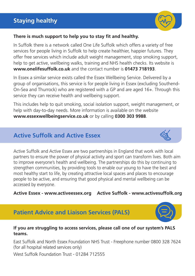# **Staying healthy**



#### **There is much support to help you to stay fit and healthy.**

In Suffolk there is a network called One Life Suffolk which offers a variety of free services for people living in Suffolk to help create healthier, happier futures. They offer free services which include adult weight management, stop smoking support, help to get active, wellbeing walks, training and NHS health checks. Its website is **www.onelifesuffolk.co.uk** and the contact number is **01473 718193**.

In Essex a similar service exists called the Essex Wellbeing Service. Delivered by a group of organisations, this service is for people living in Essex (excluding Southend-On-Sea and Thurrock) who are registered with a GP and are aged 16+. Through this service they can receive health and wellbeing support.

This includes help to quit smoking, social isolation support, weight management, or help with day-to-day needs. More information is available on the website **www.essexwellbeingservice.co.uk** or by calling **0300 303 9988**.

## **Active Suffolk and Active Essex**



Active Suffolk and Active Essex are two partnerships in England that work with local partners to ensure the power of physical activity and sport can transform lives. Both aim to improve everyone's health and wellbeing. The partnerships do this by continuing to strengthen communities, by providing tools to enable our young to have the best and most healthy start to life, by creating attractive local spaces and places to encourage people to be active, and ensuring that good physical and mental wellbeing can be accessed by everyone.

**Active Essex - www.activeessex.org Active Suffolk - www.activesuffolk.org**

### **Patient Advice and Liaison Services (PALS)**



East Suffolk and North Essex Foundation NHS Trust - Freephone number 0800 328 7624 (for all hospital related services only)

West Suffolk Foundation Trust - 01284 712555